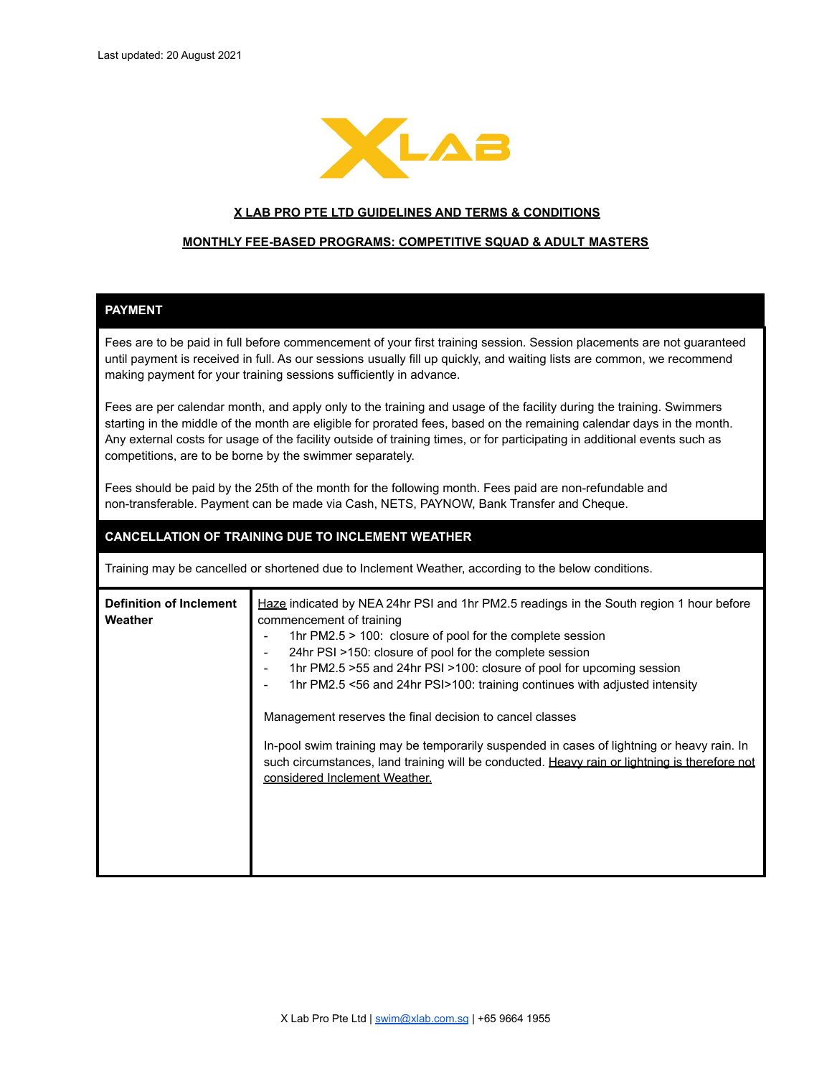

#### **X LAB PRO PTE LTD GUIDELINES AND TERMS & CONDITIONS**

#### **MONTHLY FEE-BASED PROGRAMS: COMPETITIVE SQUAD & ADULT MASTERS**

# **PAYMENT**

Fees are to be paid in full before commencement of your first training session. Session placements are not guaranteed until payment is received in full. As our sessions usually fill up quickly, and waiting lists are common, we recommend making payment for your training sessions sufficiently in advance.

Fees are per calendar month, and apply only to the training and usage of the facility during the training. Swimmers starting in the middle of the month are eligible for prorated fees, based on the remaining calendar days in the month. Any external costs for usage of the facility outside of training times, or for participating in additional events such as competitions, are to be borne by the swimmer separately.

Fees should be paid by the 25th of the month for the following month. Fees paid are non-refundable and non-transferable. Payment can be made via Cash, NETS, PAYNOW, Bank Transfer and Cheque.

### **CANCELLATION OF TRAINING DUE TO INCLEMENT WEATHER**

Training may be cancelled or shortened due to Inclement Weather, according to the below conditions.

| <b>Definition of Inclement</b><br>Weather | Haze indicated by NEA 24hr PSI and 1hr PM2.5 readings in the South region 1 hour before<br>commencement of training<br>1hr $PM2.5 > 100$ : closure of pool for the complete session<br>24hr PSI >150: closure of pool for the complete session<br>1hr PM2.5 > 55 and 24hr PSI > 100: closure of pool for upcoming session<br>1hr PM2.5 <56 and 24hr PSI>100: training continues with adjusted intensity<br>Management reserves the final decision to cancel classes |
|-------------------------------------------|---------------------------------------------------------------------------------------------------------------------------------------------------------------------------------------------------------------------------------------------------------------------------------------------------------------------------------------------------------------------------------------------------------------------------------------------------------------------|
|                                           | In-pool swim training may be temporarily suspended in cases of lightning or heavy rain. In<br>such circumstances, land training will be conducted. Heavy rain or lightning is therefore not<br>considered Inclement Weather.                                                                                                                                                                                                                                        |
|                                           |                                                                                                                                                                                                                                                                                                                                                                                                                                                                     |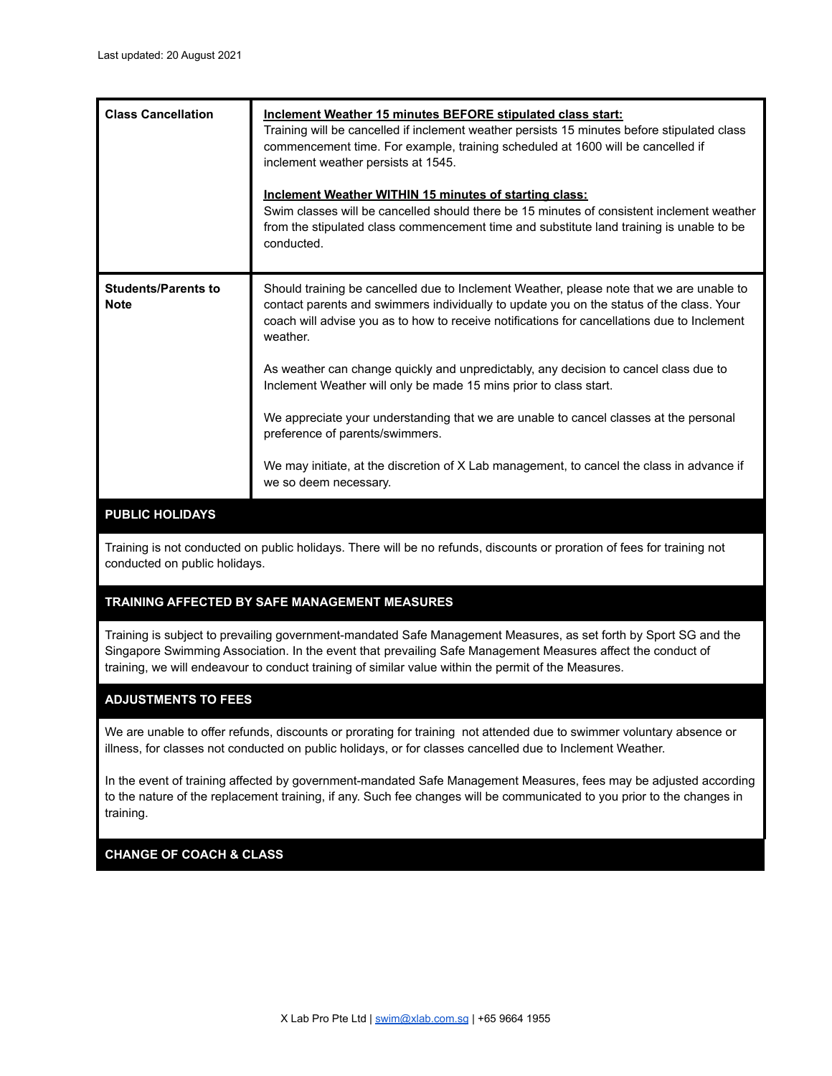| <b>Class Cancellation</b>                 | Inclement Weather 15 minutes BEFORE stipulated class start:<br>Training will be cancelled if inclement weather persists 15 minutes before stipulated class<br>commencement time. For example, training scheduled at 1600 will be cancelled if<br>inclement weather persists at 1545.<br>Inclement Weather WITHIN 15 minutes of starting class:<br>Swim classes will be cancelled should there be 15 minutes of consistent inclement weather<br>from the stipulated class commencement time and substitute land training is unable to be<br>conducted. |
|-------------------------------------------|-------------------------------------------------------------------------------------------------------------------------------------------------------------------------------------------------------------------------------------------------------------------------------------------------------------------------------------------------------------------------------------------------------------------------------------------------------------------------------------------------------------------------------------------------------|
| <b>Students/Parents to</b><br><b>Note</b> | Should training be cancelled due to Inclement Weather, please note that we are unable to<br>contact parents and swimmers individually to update you on the status of the class. Your<br>coach will advise you as to how to receive notifications for cancellations due to Inclement<br>weather.                                                                                                                                                                                                                                                       |
|                                           | As weather can change quickly and unpredictably, any decision to cancel class due to<br>Inclement Weather will only be made 15 mins prior to class start.                                                                                                                                                                                                                                                                                                                                                                                             |
|                                           | We appreciate your understanding that we are unable to cancel classes at the personal<br>preference of parents/swimmers.                                                                                                                                                                                                                                                                                                                                                                                                                              |
|                                           | We may initiate, at the discretion of X Lab management, to cancel the class in advance if<br>we so deem necessary.                                                                                                                                                                                                                                                                                                                                                                                                                                    |

# **PUBLIC HOLIDAYS**

Training is not conducted on public holidays. There will be no refunds, discounts or proration of fees for training not conducted on public holidays.

# **TRAINING AFFECTED BY SAFE MANAGEMENT MEASURES**

Training is subject to prevailing government-mandated Safe Management Measures, as set forth by Sport SG and the Singapore Swimming Association. In the event that prevailing Safe Management Measures affect the conduct of training, we will endeavour to conduct training of similar value within the permit of the Measures.

## **ADJUSTMENTS TO FEES**

We are unable to offer refunds, discounts or prorating for training not attended due to swimmer voluntary absence or illness, for classes not conducted on public holidays, or for classes cancelled due to Inclement Weather.

In the event of training affected by government-mandated Safe Management Measures, fees may be adjusted according to the nature of the replacement training, if any. Such fee changes will be communicated to you prior to the changes in training.

## **CHANGE OF COACH & CLASS**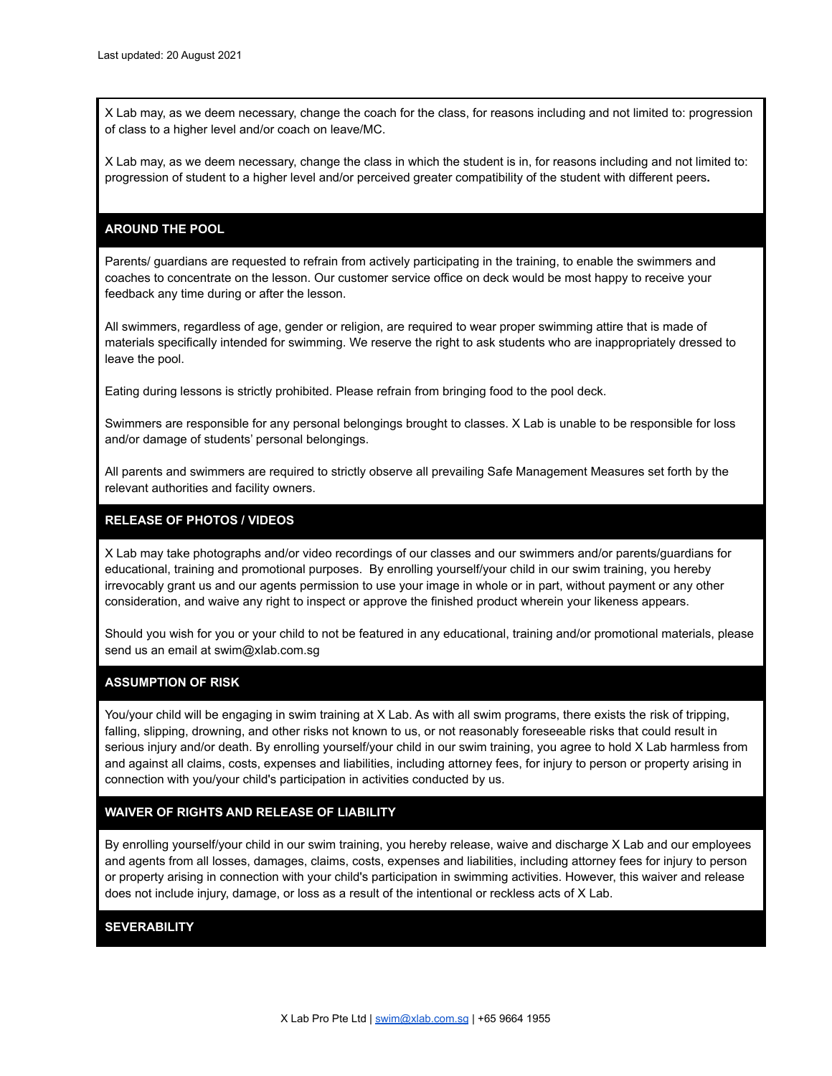X Lab may, as we deem necessary, change the coach for the class, for reasons including and not limited to: progression of class to a higher level and/or coach on leave/MC.

X Lab may, as we deem necessary, change the class in which the student is in, for reasons including and not limited to: progression of student to a higher level and/or perceived greater compatibility of the student with different peers**.**

### **AROUND THE POOL**

Parents/ guardians are requested to refrain from actively participating in the training, to enable the swimmers and coaches to concentrate on the lesson. Our customer service office on deck would be most happy to receive your feedback any time during or after the lesson.

All swimmers, regardless of age, gender or religion, are required to wear proper swimming attire that is made of materials specifically intended for swimming. We reserve the right to ask students who are inappropriately dressed to leave the pool.

Eating during lessons is strictly prohibited. Please refrain from bringing food to the pool deck.

Swimmers are responsible for any personal belongings brought to classes. X Lab is unable to be responsible for loss and/or damage of students' personal belongings.

All parents and swimmers are required to strictly observe all prevailing Safe Management Measures set forth by the relevant authorities and facility owners.

### **RELEASE OF PHOTOS / VIDEOS**

X Lab may take photographs and/or video recordings of our classes and our swimmers and/or parents/guardians for educational, training and promotional purposes. By enrolling yourself/your child in our swim training, you hereby irrevocably grant us and our agents permission to use your image in whole or in part, without payment or any other consideration, and waive any right to inspect or approve the finished product wherein your likeness appears.

Should you wish for you or your child to not be featured in any educational, training and/or promotional materials, please send us an email at swim@xlab.com.sg

### **ASSUMPTION OF RISK**

You/your child will be engaging in swim training at X Lab. As with all swim programs, there exists the risk of tripping, falling, slipping, drowning, and other risks not known to us, or not reasonably foreseeable risks that could result in serious injury and/or death. By enrolling yourself/your child in our swim training, you agree to hold X Lab harmless from and against all claims, costs, expenses and liabilities, including attorney fees, for injury to person or property arising in connection with you/your child's participation in activities conducted by us.

### **WAIVER OF RIGHTS AND RELEASE OF LIABILITY**

By enrolling yourself/your child in our swim training, you hereby release, waive and discharge X Lab and our employees and agents from all losses, damages, claims, costs, expenses and liabilities, including attorney fees for injury to person or property arising in connection with your child's participation in swimming activities. However, this waiver and release does not include injury, damage, or loss as a result of the intentional or reckless acts of X Lab.

### **SEVERABILITY**